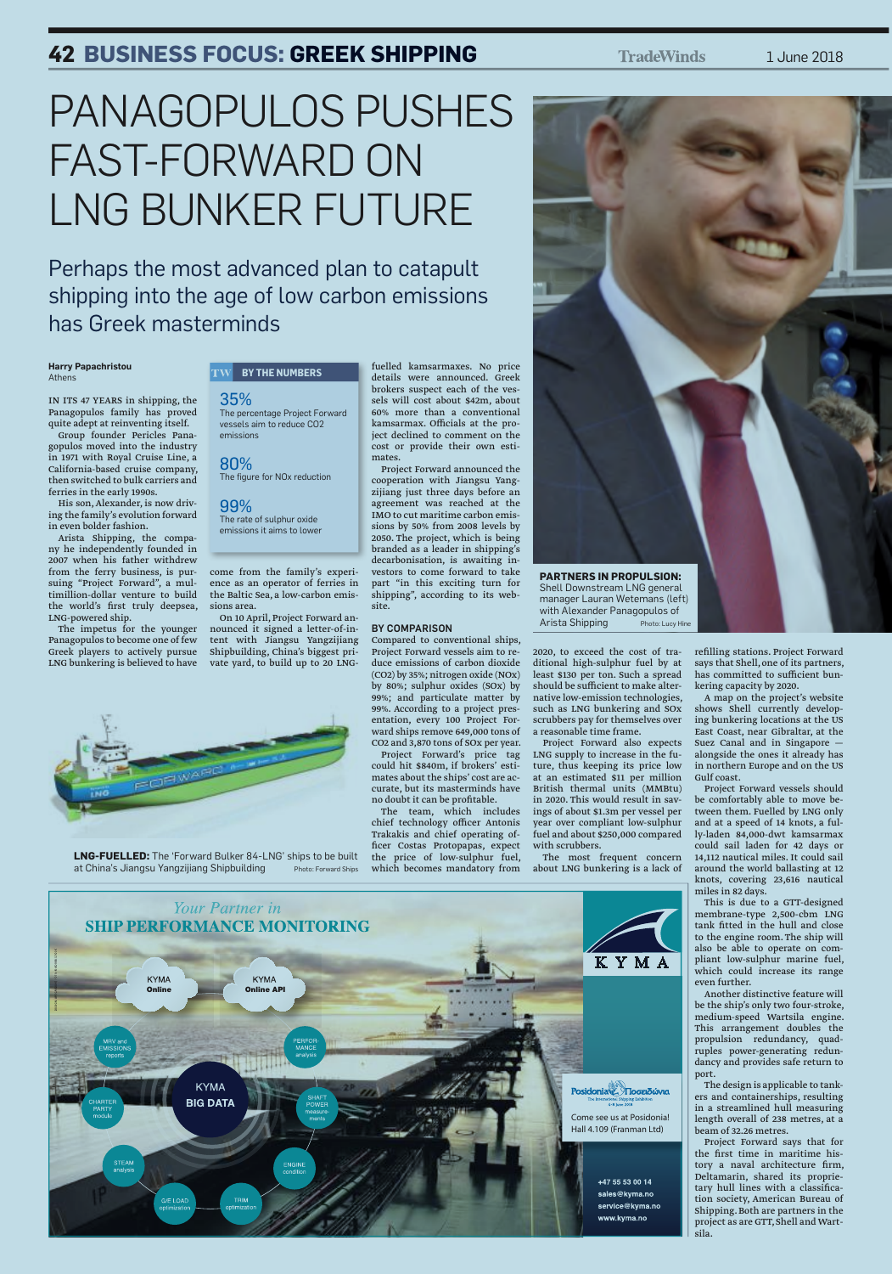### **42 BUSINESS FOCUS: GREEK SHIPPING** TradeWinds 1 June 2018

## PANAGOPULOS PUSHES FAST-FORWARD ON LNG BUNKER FUTURE

Perhaps the most advanced plan to catapult shipping into the age of low carbon emissions has Greek masterminds

#### **Harry Papachristou** Athens

IN ITS 47 YEARS in shipping, the Panagopulos family has proved quite adept at reinventing itself.

Group founder Pericles Panagopulos moved into the industry in 1971 with Royal Cruise Line, a California-based cruise company, then switched to bulk carriers and ferries in the early 1990s.

His son, Alexander, is now driving the family's evolution forward in even bolder fashion.

Arista Shipping, the company he independently founded in 2007 when his father withdrew from the ferry business, is pursuing "Project Forward", a multimillion-dollar venture to build the world's first truly deepsea, LNG-powered ship.

The impetus for the younger Panagopulos to become one of few Greek players to actively pursue LNG bunkering is believed to have

#### **BY THE NUMBERS**

35% The percentage Project Forward vessels aim to reduce CO2 emissions

80% The figure for NOx reduction

99% The rate of sulphur oxide emissions it aims to lower

come from the family's experience as an operator of ferries in the Baltic Sea, a low-carbon emissions area.

On 10 April, Project Forward announced it signed a letter-of-intent with Jiangsu Yangzijiang Shipbuilding, China's biggest private yard, to build up to 20 LNG-



**LNG-FUELLED:** The 'Forward Bulker 84-LNG' ships to be built at China's Jiangsu Yangzijiang Shipbuilding Photo: Forward Ships



fuelled kamsarmaxes. No price

Project Forward announced the cooperation with Jiangsu Yangzijiang just three days before an agreement was reached at the IMO to cut maritime carbon emissions by 50% from 2008 levels by 2050. The project, which is being branded as a leader in shipping's decarbonisation, is awaiting investors to come forward to take part "in this exciting turn for shipping", according to its website.

#### BY COMPARISON

Compared to conventional ships, Project Forward vessels aim to reduce emissions of carbon dioxide (CO2) by 35%; nitrogen oxide (NOx) by 80%; sulphur oxides (SOx) by 99%; and particulate matter by 99%. According to a project presentation, every 100 Project Forward ships remove 649,000 tons of CO2 and 3,870 tons of SOx per year.

Project Forward's price tag could hit \$840m, if brokers' estimates about the ships' cost are accurate, but its masterminds have no doubt it can be profitable.

The team, which includes chief technology officer Antonis Trakakis and chief operating officer Costas Protopapas, expect the price of low-sulphur fuel, which becomes mandatory from

2020, to exceed the cost of traditional high-sulphur fuel by at least \$130 per ton. Such a spread should be sufficient to make alternative low-emission technologies, such as LNG bunkering and SOx

**PARTNERS IN PROPULSION:** Shell Downstream LNG general manager Lauran Wetemans (left) with Alexander Panagopulos of Arista Shipping Photo: Lucy Hir

scrubbers pay for themselves over

a reasonable time frame. Project Forward also expects LNG supply to increase in the future, thus keeping its price low at an estimated \$11 per million British thermal units (MMBtu) in 2020. This would result in savings of about \$1.3m per vessel per year over compliant low-sulphur fuel and about \$250,000 compared with scrubbers.

The most frequent concern about LNG bunkering is a lack of refilling stations. Project Forward says that Shell, one of its partners, has committed to sufficient bunkering capacity by 2020.

A map on the project's website shows Shell currently developing bunkering locations at the US East Coast, near Gibraltar, at the Suez Canal and in Singapore alongside the ones it already has in northern Europe and on the US Gulf coast.

Project Forward vessels should be comfortably able to move between them. Fuelled by LNG only and at a speed of 14 knots, a fully-laden 84,000-dwt kamsarmax could sail laden for 42 days or 14,112 nautical miles. It could sail around the world ballasting at 12 knots, covering 23,616 nautical miles in 82 days.

This is due to a GTT-designed membrane-type 2,500-cbm LNG tank fitted in the hull and close to the engine room. The ship will also be able to operate on compliant low-sulphur marine fuel, which could increase its range even further.

Another distinctive feature will be the ship's only two four-stroke, medium-speed Wartsila engine. This arrangement doubles the propulsion redundancy, quadruples power-generating redundancy and provides safe return to port.

The design is applicable to tankers and containerships, resulting in a streamlined hull measuring length overall of 238 metres, at a beam of 32.26 metres.

Project Forward says that for the first time in maritime history a naval architecture firm, Deltamarin, shared its proprietary hull lines with a classification society, American Bureau of Shipping. Both are partners in the project as are GTT, Shell and Wartsila.